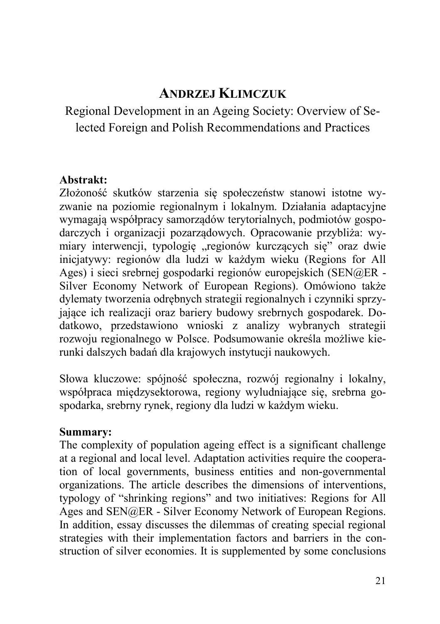# **ANDRZEJ KLIMCZUK**

Regional Development in an Ageing Society: Overview of Selected Foreign and Polish Recommendations and Practices

## **Abstrakt:**

Złożoność skutków starzenia się społeczeństw stanowi istotne wyzwanie na poziomie regionalnym i lokalnym. Działania adaptacyjne wymagają współpracy samorządów terytorialnych, podmiotów gospodarczych i organizacji pozarządowych. Opracowanie przybliża: wymiary interwencji, typologię "regionów kurczących się" oraz dwie inicjatywy: regionów dla ludzi w każdym wieku (Regions for All Ages) i sieci srebrnej gospodarki regionów europejskich (SEN@ER - Silver Economy Network of European Regions). Omówiono także dylematy tworzenia odrębnych strategii regionalnych i czynniki sprzyjające ich realizacji oraz bariery budowy srebrnych gospodarek. Dodatkowo, przedstawiono wnioski z analizy wybranych strategii rozwoju regionalnego w Polsce. Podsumowanie określa możliwe kierunki dalszych badań dla krajowych instytucji naukowych.

Słowa kluczowe: spójność społeczna, rozwój regionalny i lokalny, współpraca międzysektorowa, regiony wyludniające się, srebrna gospodarka, srebrny rynek, regiony dla ludzi w każdym wieku.

#### **Summary:**

The complexity of population ageing effect is a significant challenge at a regional and local level. Adaptation activities require the cooperation of local governments, business entities and non-governmental organizations. The article describes the dimensions of interventions, typology of "shrinking regions" and two initiatives: Regions for All Ages and SEN@ER - Silver Economy Network of European Regions. In addition, essay discusses the dilemmas of creating special regional strategies with their implementation factors and barriers in the construction of silver economies. It is supplemented by some conclusions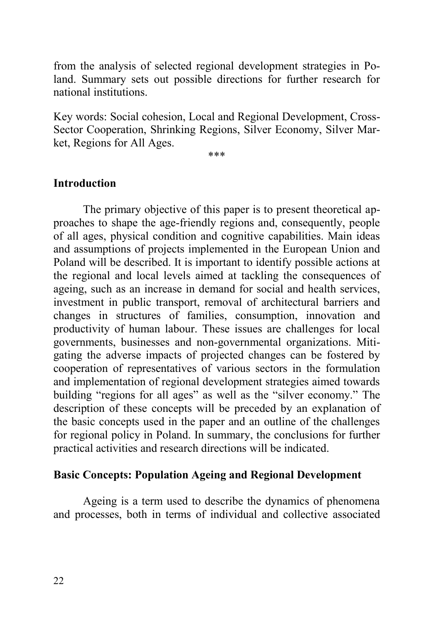from the analysis of selected regional development strategies in Poland. Summary sets out possible directions for further research for national institutions.

Key words: Social cohesion, Local and Regional Development, Cross-Sector Cooperation, Shrinking Regions, Silver Economy, Silver Market, Regions for All Ages.

\*\*\*

#### **Introduction**

The primary objective of this paper is to present theoretical approaches to shape the age-friendly regions and, consequently, people of all ages, physical condition and cognitive capabilities. Main ideas and assumptions of projects implemented in the European Union and Poland will be described. It is important to identify possible actions at the regional and local levels aimed at tackling the consequences of ageing, such as an increase in demand for social and health services, investment in public transport, removal of architectural barriers and changes in structures of families, consumption, innovation and productivity of human labour. These issues are challenges for local governments, businesses and non-governmental organizations. Mitigating the adverse impacts of projected changes can be fostered by cooperation of representatives of various sectors in the formulation and implementation of regional development strategies aimed towards building "regions for all ages" as well as the "silver economy." The description of these concepts will be preceded by an explanation of the basic concepts used in the paper and an outline of the challenges for regional policy in Poland. In summary, the conclusions for further practical activities and research directions will be indicated.

#### **Basic Concepts: Population Ageing and Regional Development**

Ageing is a term used to describe the dynamics of phenomena and processes, both in terms of individual and collective associated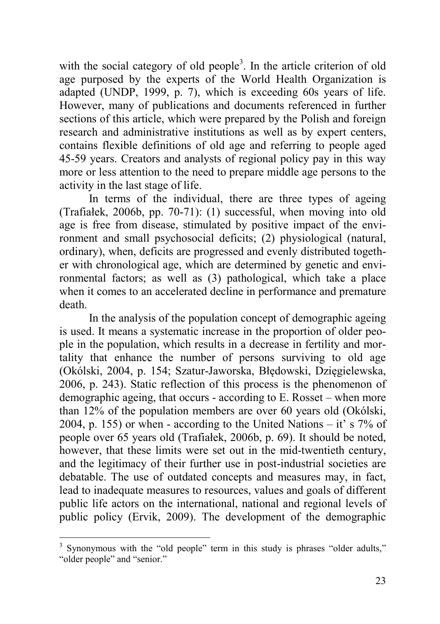with the social category of old people<sup>3</sup>. In the article criterion of old age purposed by the experts of the World Health Organization is adapted (UNDP, 1999, p. 7), which is exceeding 60s years of life. However, many of publications and documents referenced in further sections of this article, which were prepared by the Polish and foreign research and administrative institutions as well as by expert centers, contains flexible definitions of old age and referring to people aged 45-59 years. Creators and analysts of regional policy pay in this way more or less attention to the need to prepare middle age persons to the activity in the last stage of life.

In terms of the individual, there are three types of ageing (Trafiałek, 2006b, pp. 70-71): (1) successful, when moving into old age is free from disease, stimulated by positive impact of the environment and small psychosocial deficits; (2) physiological (natural, ordinary), when, deficits are progressed and evenly distributed together with chronological age, which are determined by genetic and environmental factors; as well as (3) pathological, which take a place when it comes to an accelerated decline in performance and premature death.

In the analysis of the population concept of demographic ageing is used. It means a systematic increase in the proportion of older people in the population, which results in a decrease in fertility and mortality that enhance the number of persons surviving to old age (Okólski, 2004, p. 154; Szatur-Jaworska, Błędowski, Dzięgielewska, 2006, p. 243). Static reflection of this process is the phenomenon of demographic ageing, that occurs - according to E. Rosset – when more than 12% of the population members are over 60 years old (Okólski, 2004, p. 155) or when - according to the United Nations – it' s  $7\%$  of people over 65 years old (Trafiałek, 2006b, p. 69). It should be noted, however, that these limits were set out in the mid-twentieth century, and the legitimacy of their further use in post-industrial societies are debatable. The use of outdated concepts and measures may, in fact, lead to inadequate measures to resources, values and goals of different public life actors on the international, national and regional levels of public policy (Ervik, 2009). The development of the demographic

 $\overline{a}$ 

<sup>3</sup> Synonymous with the "old people" term in this study is phrases "older adults," "older people" and "senior."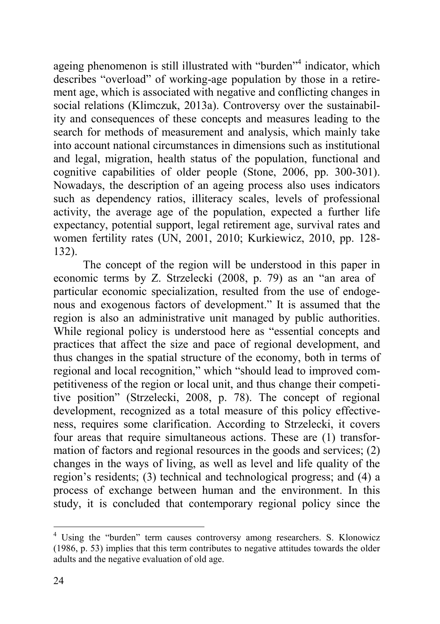ageing phenomenon is still illustrated with "burden"<sup>4</sup> indicator, which describes "overload" of working-age population by those in a retirement age, which is associated with negative and conflicting changes in social relations (Klimczuk, 2013a). Controversy over the sustainability and consequences of these concepts and measures leading to the search for methods of measurement and analysis, which mainly take into account national circumstances in dimensions such as institutional and legal, migration, health status of the population, functional and cognitive capabilities of older people (Stone, 2006, pp. 300-301). Nowadays, the description of an ageing process also uses indicators such as dependency ratios, illiteracy scales, levels of professional activity, the average age of the population, expected a further life expectancy, potential support, legal retirement age, survival rates and women fertility rates (UN, 2001, 2010; Kurkiewicz, 2010, pp. 128- 132).

The concept of the region will be understood in this paper in economic terms by Z. Strzelecki (2008, p. 79) as an "an area of particular economic specialization, resulted from the use of endogenous and exogenous factors of development." It is assumed that the region is also an administrative unit managed by public authorities. While regional policy is understood here as "essential concepts and practices that affect the size and pace of regional development, and thus changes in the spatial structure of the economy, both in terms of regional and local recognition," which "should lead to improved competitiveness of the region or local unit, and thus change their competitive position" (Strzelecki, 2008, p. 78). The concept of regional development, recognized as a total measure of this policy effectiveness, requires some clarification. According to Strzelecki, it covers four areas that require simultaneous actions. These are (1) transformation of factors and regional resources in the goods and services; (2) changes in the ways of living, as well as level and life quality of the region's residents; (3) technical and technological progress; and (4) a process of exchange between human and the environment. In this study, it is concluded that contemporary regional policy since the

 $\overline{a}$ 

<sup>&</sup>lt;sup>4</sup> Using the "burden" term causes controversy among researchers. S. Klonowicz (1986, p. 53) implies that this term contributes to negative attitudes towards the older adults and the negative evaluation of old age.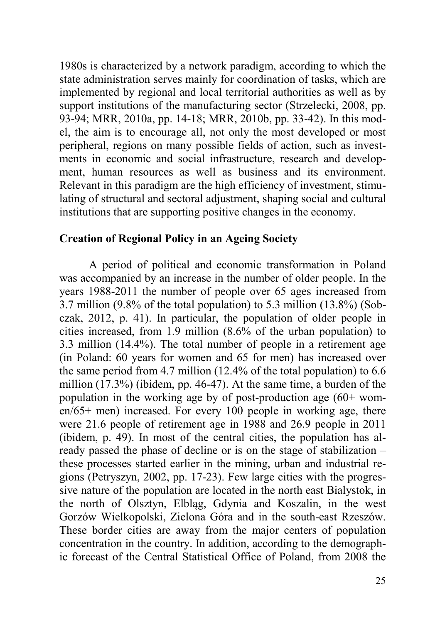1980s is characterized by a network paradigm, according to which the state administration serves mainly for coordination of tasks, which are implemented by regional and local territorial authorities as well as by support institutions of the manufacturing sector (Strzelecki, 2008, pp. 93-94; MRR, 2010a, pp. 14-18; MRR, 2010b, pp. 33-42). In this model, the aim is to encourage all, not only the most developed or most peripheral, regions on many possible fields of action, such as investments in economic and social infrastructure, research and development, human resources as well as business and its environment. Relevant in this paradigm are the high efficiency of investment, stimulating of structural and sectoral adjustment, shaping social and cultural institutions that are supporting positive changes in the economy.

## **Creation of Regional Policy in an Ageing Society**

A period of political and economic transformation in Poland was accompanied by an increase in the number of older people. In the years 1988-2011 the number of people over 65 ages increased from 3.7 million (9.8% of the total population) to 5.3 million (13.8%) (Sobczak, 2012, p. 41). In particular, the population of older people in cities increased, from 1.9 million (8.6% of the urban population) to 3.3 million (14.4%). The total number of people in a retirement age (in Poland: 60 years for women and 65 for men) has increased over the same period from 4.7 million (12.4% of the total population) to 6.6 million (17.3%) (ibidem, pp. 46-47). At the same time, a burden of the population in the working age by of post-production age (60+ women/65+ men) increased. For every 100 people in working age, there were 21.6 people of retirement age in 1988 and 26.9 people in 2011 (ibidem, p. 49). In most of the central cities, the population has already passed the phase of decline or is on the stage of stabilization – these processes started earlier in the mining, urban and industrial regions (Petryszyn, 2002, pp. 17-23). Few large cities with the progressive nature of the population are located in the north east Bialystok, in the north of Olsztyn, Elbląg, Gdynia and Koszalin, in the west Gorzów Wielkopolski, Zielona Góra and in the south-east Rzeszów. These border cities are away from the major centers of population concentration in the country. In addition, according to the demographic forecast of the Central Statistical Office of Poland, from 2008 the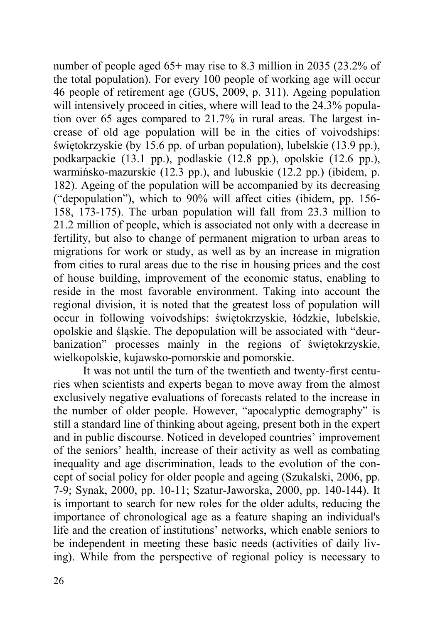number of people aged 65+ may rise to 8.3 million in 2035 (23.2% of the total population). For every 100 people of working age will occur 46 people of retirement age (GUS, 2009, p. 311). Ageing population will intensively proceed in cities, where will lead to the 24.3% population over 65 ages compared to 21.7% in rural areas. The largest increase of old age population will be in the cities of voivodships: świętokrzyskie (by 15.6 pp. of urban population), lubelskie (13.9 pp.), podkarpackie (13.1 pp.), podlaskie (12.8 pp.), opolskie (12.6 pp.), warmińsko-mazurskie (12.3 pp.), and lubuskie (12.2 pp.) (ibidem, p. 182). Ageing of the population will be accompanied by its decreasing ("depopulation"), which to 90% will affect cities (ibidem, pp. 156- 158, 173-175). The urban population will fall from 23.3 million to 21.2 million of people, which is associated not only with a decrease in fertility, but also to change of permanent migration to urban areas to migrations for work or study, as well as by an increase in migration from cities to rural areas due to the rise in housing prices and the cost of house building, improvement of the economic status, enabling to reside in the most favorable environment. Taking into account the regional division, it is noted that the greatest loss of population will occur in following voivodships: świętokrzyskie, łódzkie, lubelskie, opolskie and śląskie. The depopulation will be associated with "deurbanization" processes mainly in the regions of świętokrzyskie, wielkopolskie, kujawsko-pomorskie and pomorskie.

It was not until the turn of the twentieth and twenty-first centuries when scientists and experts began to move away from the almost exclusively negative evaluations of forecasts related to the increase in the number of older people. However, "apocalyptic demography" is still a standard line of thinking about ageing, present both in the expert and in public discourse. Noticed in developed countries' improvement of the seniors' health, increase of their activity as well as combating inequality and age discrimination, leads to the evolution of the concept of social policy for older people and ageing (Szukalski, 2006, pp. 7-9; Synak, 2000, pp. 10-11; Szatur-Jaworska, 2000, pp. 140-144). It is important to search for new roles for the older adults, reducing the importance of chronological age as a feature shaping an individual's life and the creation of institutions' networks, which enable seniors to be independent in meeting these basic needs (activities of daily living). While from the perspective of regional policy is necessary to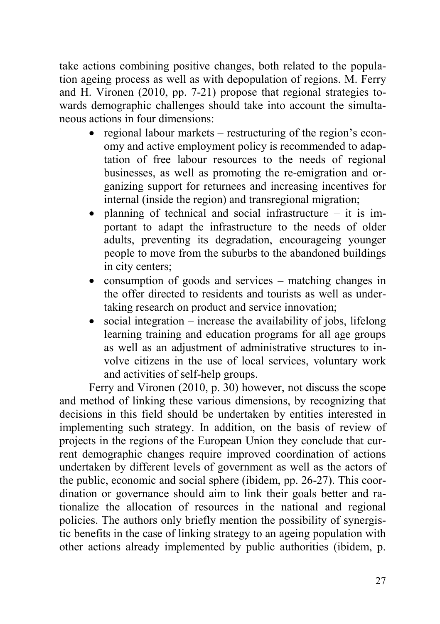take actions combining positive changes, both related to the population ageing process as well as with depopulation of regions. M. Ferry and H. Vironen (2010, pp. 7-21) propose that regional strategies towards demographic challenges should take into account the simultaneous actions in four dimensions:

- regional labour markets restructuring of the region's economy and active employment policy is recommended to adaptation of free labour resources to the needs of regional businesses, as well as promoting the re-emigration and organizing support for returnees and increasing incentives for internal (inside the region) and transregional migration;
- planning of technical and social infrastructure it is important to adapt the infrastructure to the needs of older adults, preventing its degradation, encourageing younger people to move from the suburbs to the abandoned buildings in city centers;
- consumption of goods and services matching changes in the offer directed to residents and tourists as well as undertaking research on product and service innovation;
- social integration increase the availability of jobs, lifelong learning training and education programs for all age groups as well as an adjustment of administrative structures to involve citizens in the use of local services, voluntary work and activities of self-help groups.

Ferry and Vironen (2010, p. 30) however, not discuss the scope and method of linking these various dimensions, by recognizing that decisions in this field should be undertaken by entities interested in implementing such strategy. In addition, on the basis of review of projects in the regions of the European Union they conclude that current demographic changes require improved coordination of actions undertaken by different levels of government as well as the actors of the public, economic and social sphere (ibidem, pp. 26-27). This coordination or governance should aim to link their goals better and rationalize the allocation of resources in the national and regional policies. The authors only briefly mention the possibility of synergistic benefits in the case of linking strategy to an ageing population with other actions already implemented by public authorities (ibidem, p.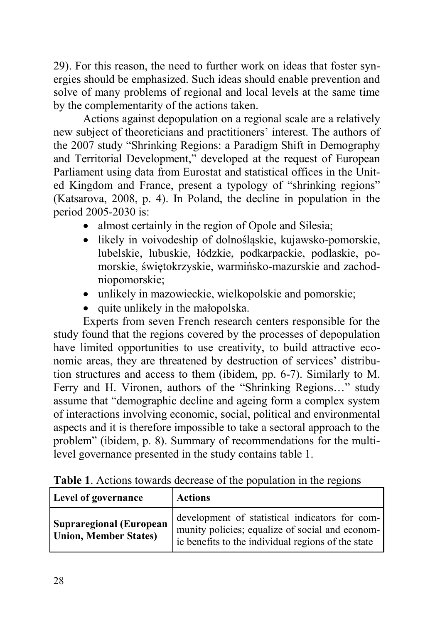29). For this reason, the need to further work on ideas that foster synergies should be emphasized. Such ideas should enable prevention and solve of many problems of regional and local levels at the same time by the complementarity of the actions taken.

Actions against depopulation on a regional scale are a relatively new subject of theoreticians and practitioners' interest. The authors of the 2007 study "Shrinking Regions: a Paradigm Shift in Demography and Territorial Development," developed at the request of European Parliament using data from Eurostat and statistical offices in the United Kingdom and France, present a typology of "shrinking regions" (Katsarova, 2008, p. 4). In Poland, the decline in population in the period 2005-2030 is:

- almost certainly in the region of Opole and Silesia;
- likely in voivodeship of dolnośląskie, kujawsko-pomorskie, lubelskie, lubuskie, łódzkie, podkarpackie, podlaskie, pomorskie, świętokrzyskie, warmińsko-mazurskie and zachodniopomorskie;
- unlikely in mazowieckie, wielkopolskie and pomorskie;
- quite unlikely in the małopolska.

Experts from seven French research centers responsible for the study found that the regions covered by the processes of depopulation have limited opportunities to use creativity, to build attractive economic areas, they are threatened by destruction of services' distribution structures and access to them (ibidem, pp. 6-7). Similarly to M. Ferry and H. Vironen, authors of the "Shrinking Regions…" study assume that "demographic decline and ageing form a complex system of interactions involving economic, social, political and environmental aspects and it is therefore impossible to take a sectoral approach to the problem" (ibidem, p. 8). Summary of recommendations for the multilevel governance presented in the study contains table 1.

| <b>Table 1.</b> Actions towards decrease of the population in the regions |  |
|---------------------------------------------------------------------------|--|
|---------------------------------------------------------------------------|--|

| Level of governance                                            | <b>Actions</b>                                                                                                                                          |
|----------------------------------------------------------------|---------------------------------------------------------------------------------------------------------------------------------------------------------|
| <b>Supraregional (European</b><br><b>Union, Member States)</b> | development of statistical indicators for com-<br>munity policies; equalize of social and econom-<br>ic benefits to the individual regions of the state |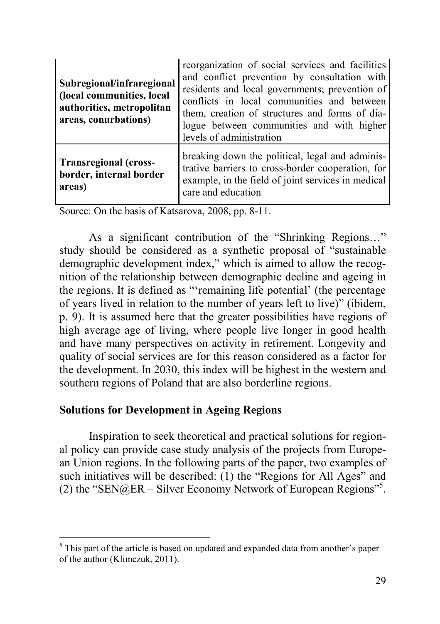| Subregional/infraregional<br>(local communities, local<br>authorities, metropolitan<br>areas, conurbations) | reorganization of social services and facilities<br>and conflict prevention by consultation with<br>residents and local governments; prevention of<br>conflicts in local communities and between<br>them, creation of structures and forms of dia-<br>logue between communities and with higher<br>levels of administration |
|-------------------------------------------------------------------------------------------------------------|-----------------------------------------------------------------------------------------------------------------------------------------------------------------------------------------------------------------------------------------------------------------------------------------------------------------------------|
| <b>Transregional (cross-</b><br>border, internal border<br>areas)                                           | breaking down the political, legal and adminis-<br>trative barriers to cross-border cooperation, for<br>example, in the field of joint services in medical<br>care and education                                                                                                                                            |

Source: On the basis of Katsarova, 2008, pp. 8-11.

As a significant contribution of the "Shrinking Regions…" study should be considered as a synthetic proposal of "sustainable demographic development index," which is aimed to allow the recognition of the relationship between demographic decline and ageing in the regions. It is defined as "'remaining life potential' (the percentage of years lived in relation to the number of years left to live)" (ibidem, p. 9). It is assumed here that the greater possibilities have regions of high average age of living, where people live longer in good health and have many perspectives on activity in retirement. Longevity and quality of social services are for this reason considered as a factor for the development. In 2030, this index will be highest in the western and southern regions of Poland that are also borderline regions.

### **Solutions for Development in Ageing Regions**

 $\overline{a}$ 

Inspiration to seek theoretical and practical solutions for regional policy can provide case study analysis of the projects from European Union regions. In the following parts of the paper, two examples of such initiatives will be described: (1) the "Regions for All Ages" and (2) the "SEN@ER – Silver Economy Network of European Regions"<sup>5</sup> .

This part of the article is based on updated and expanded data from another's paper of the author (Klimczuk, 2011).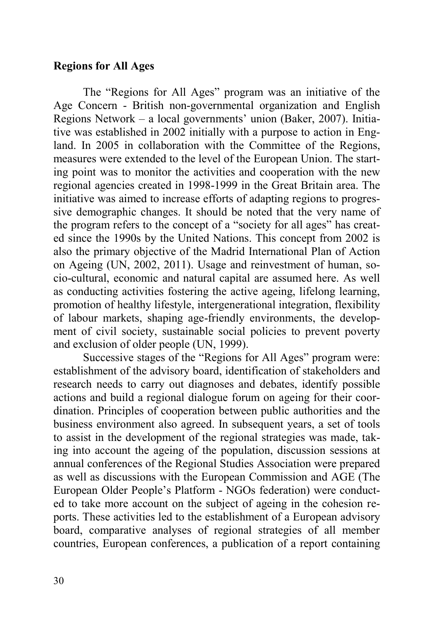## **Regions for All Ages**

The "Regions for All Ages" program was an initiative of the Age Concern - British non-governmental organization and English Regions Network – a local governments' union (Baker, 2007). Initiative was established in 2002 initially with a purpose to action in England. In 2005 in collaboration with the Committee of the Regions, measures were extended to the level of the European Union. The starting point was to monitor the activities and cooperation with the new regional agencies created in 1998-1999 in the Great Britain area. The initiative was aimed to increase efforts of adapting regions to progressive demographic changes. It should be noted that the very name of the program refers to the concept of a "society for all ages" has created since the 1990s by the United Nations. This concept from 2002 is also the primary objective of the Madrid International Plan of Action on Ageing (UN, 2002, 2011). Usage and reinvestment of human, socio-cultural, economic and natural capital are assumed here. As well as conducting activities fostering the active ageing, lifelong learning, promotion of healthy lifestyle, intergenerational integration, flexibility of labour markets, shaping age-friendly environments, the development of civil society, sustainable social policies to prevent poverty and exclusion of older people (UN, 1999).

Successive stages of the "Regions for All Ages" program were: establishment of the advisory board, identification of stakeholders and research needs to carry out diagnoses and debates, identify possible actions and build a regional dialogue forum on ageing for their coordination. Principles of cooperation between public authorities and the business environment also agreed. In subsequent years, a set of tools to assist in the development of the regional strategies was made, taking into account the ageing of the population, discussion sessions at annual conferences of the Regional Studies Association were prepared as well as discussions with the European Commission and AGE (The European Older People's Platform - NGOs federation) were conducted to take more account on the subject of ageing in the cohesion reports. These activities led to the establishment of a European advisory board, comparative analyses of regional strategies of all member countries, European conferences, a publication of a report containing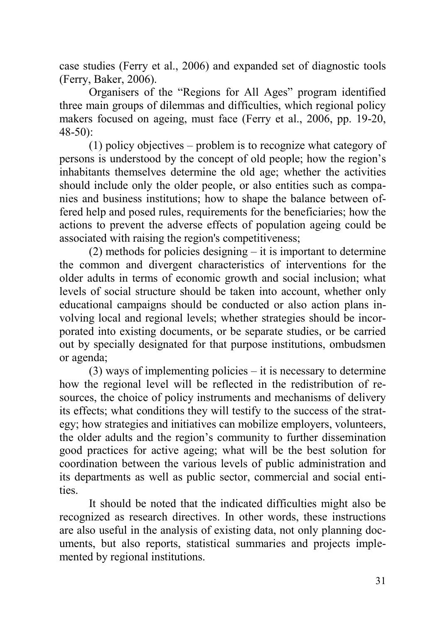case studies (Ferry et al., 2006) and expanded set of diagnostic tools (Ferry, Baker, 2006).

Organisers of the "Regions for All Ages" program identified three main groups of dilemmas and difficulties, which regional policy makers focused on ageing, must face (Ferry et al., 2006, pp. 19-20, 48-50):

(1) policy objectives – problem is to recognize what category of persons is understood by the concept of old people; how the region's inhabitants themselves determine the old age; whether the activities should include only the older people, or also entities such as companies and business institutions; how to shape the balance between offered help and posed rules, requirements for the beneficiaries; how the actions to prevent the adverse effects of population ageing could be associated with raising the region's competitiveness;

(2) methods for policies designing – it is important to determine the common and divergent characteristics of interventions for the older adults in terms of economic growth and social inclusion; what levels of social structure should be taken into account, whether only educational campaigns should be conducted or also action plans involving local and regional levels; whether strategies should be incorporated into existing documents, or be separate studies, or be carried out by specially designated for that purpose institutions, ombudsmen or agenda;

(3) ways of implementing policies – it is necessary to determine how the regional level will be reflected in the redistribution of resources, the choice of policy instruments and mechanisms of delivery its effects; what conditions they will testify to the success of the strategy; how strategies and initiatives can mobilize employers, volunteers, the older adults and the region's community to further dissemination good practices for active ageing; what will be the best solution for coordination between the various levels of public administration and its departments as well as public sector, commercial and social entities.

It should be noted that the indicated difficulties might also be recognized as research directives. In other words, these instructions are also useful in the analysis of existing data, not only planning documents, but also reports, statistical summaries and projects implemented by regional institutions.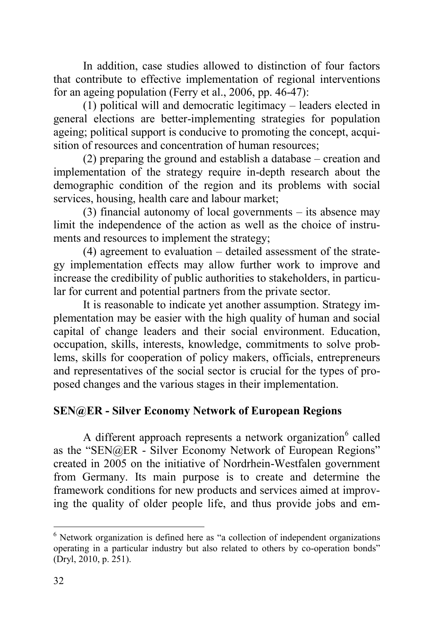In addition, case studies allowed to distinction of four factors that contribute to effective implementation of regional interventions for an ageing population (Ferry et al., 2006, pp. 46-47):

(1) political will and democratic legitimacy – leaders elected in general elections are better-implementing strategies for population ageing; political support is conducive to promoting the concept, acquisition of resources and concentration of human resources:

(2) preparing the ground and establish a database – creation and implementation of the strategy require in-depth research about the demographic condition of the region and its problems with social services, housing, health care and labour market;

(3) financial autonomy of local governments – its absence may limit the independence of the action as well as the choice of instruments and resources to implement the strategy;

(4) agreement to evaluation – detailed assessment of the strategy implementation effects may allow further work to improve and increase the credibility of public authorities to stakeholders, in particular for current and potential partners from the private sector.

It is reasonable to indicate yet another assumption. Strategy implementation may be easier with the high quality of human and social capital of change leaders and their social environment. Education, occupation, skills, interests, knowledge, commitments to solve problems, skills for cooperation of policy makers, officials, entrepreneurs and representatives of the social sector is crucial for the types of proposed changes and the various stages in their implementation.

# **SEN@ER - Silver Economy Network of European Regions**

A different approach represents a network organization<sup>6</sup> called as the "SEN@ER - Silver Economy Network of European Regions" created in 2005 on the initiative of Nordrhein-Westfalen government from Germany. Its main purpose is to create and determine the framework conditions for new products and services aimed at improving the quality of older people life, and thus provide jobs and em-

 $\overline{a}$ 

 $6$  Network organization is defined here as "a collection of independent organizations operating in a particular industry but also related to others by co-operation bonds" (Dryl, 2010, p. 251).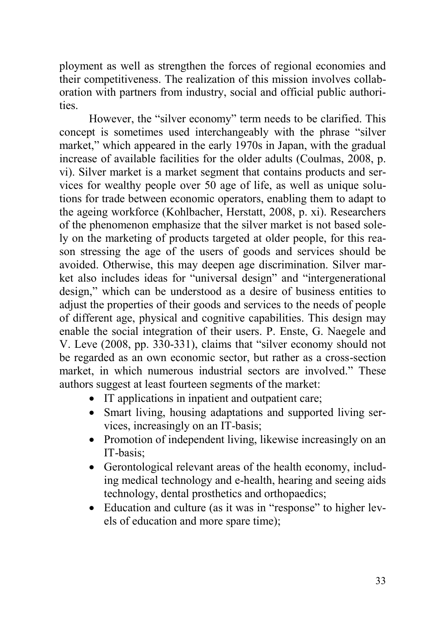ployment as well as strengthen the forces of regional economies and their competitiveness. The realization of this mission involves collaboration with partners from industry, social and official public authorities.

However, the "silver economy" term needs to be clarified. This concept is sometimes used interchangeably with the phrase "silver market," which appeared in the early 1970s in Japan, with the gradual increase of available facilities for the older adults (Coulmas, 2008, p. vi). Silver market is a market segment that contains products and services for wealthy people over 50 age of life, as well as unique solutions for trade between economic operators, enabling them to adapt to the ageing workforce (Kohlbacher, Herstatt, 2008, p. xi). Researchers of the phenomenon emphasize that the silver market is not based solely on the marketing of products targeted at older people, for this reason stressing the age of the users of goods and services should be avoided. Otherwise, this may deepen age discrimination. Silver market also includes ideas for "universal design" and "intergenerational design," which can be understood as a desire of business entities to adjust the properties of their goods and services to the needs of people of different age, physical and cognitive capabilities. This design may enable the social integration of their users. P. Enste, G. Naegele and V. Leve (2008, pp. 330-331), claims that "silver economy should not be regarded as an own economic sector, but rather as a cross-section market, in which numerous industrial sectors are involved." These authors suggest at least fourteen segments of the market:

- IT applications in inpatient and outpatient care;
- Smart living, housing adaptations and supported living services, increasingly on an IT-basis;
- Promotion of independent living, likewise increasingly on an IT-basis;
- Gerontological relevant areas of the health economy, including medical technology and e-health, hearing and seeing aids technology, dental prosthetics and orthopaedics;
- Education and culture (as it was in "response" to higher levels of education and more spare time);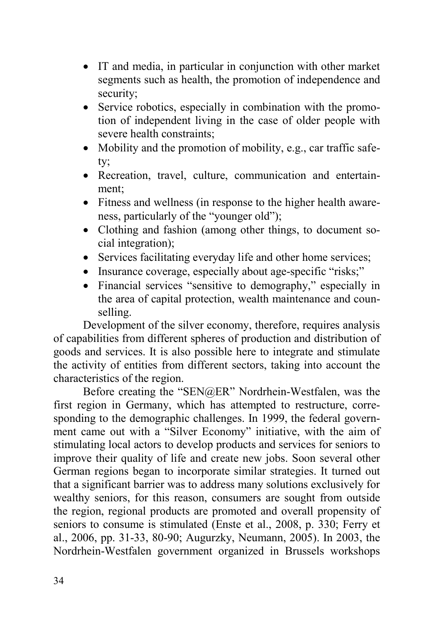- IT and media, in particular in conjunction with other market segments such as health, the promotion of independence and security;
- Service robotics, especially in combination with the promotion of independent living in the case of older people with severe health constraints;
- Mobility and the promotion of mobility, e.g., car traffic safety;
- Recreation, travel, culture, communication and entertainment;
- Fitness and wellness (in response to the higher health awareness, particularly of the "younger old");
- Clothing and fashion (among other things, to document social integration);
- Services facilitating everyday life and other home services;
- Insurance coverage, especially about age-specific "risks;"
- Financial services "sensitive to demography," especially in the area of capital protection, wealth maintenance and counselling.

Development of the silver economy, therefore, requires analysis of capabilities from different spheres of production and distribution of goods and services. It is also possible here to integrate and stimulate the activity of entities from different sectors, taking into account the characteristics of the region.

Before creating the "SEN@ER" Nordrhein-Westfalen, was the first region in Germany, which has attempted to restructure, corresponding to the demographic challenges. In 1999, the federal government came out with a "Silver Economy" initiative, with the aim of stimulating local actors to develop products and services for seniors to improve their quality of life and create new jobs. Soon several other German regions began to incorporate similar strategies. It turned out that a significant barrier was to address many solutions exclusively for wealthy seniors, for this reason, consumers are sought from outside the region, regional products are promoted and overall propensity of seniors to consume is stimulated (Enste et al., 2008, p. 330; Ferry et al., 2006, pp. 31-33, 80-90; Augurzky, Neumann, 2005). In 2003, the Nordrhein-Westfalen government organized in Brussels workshops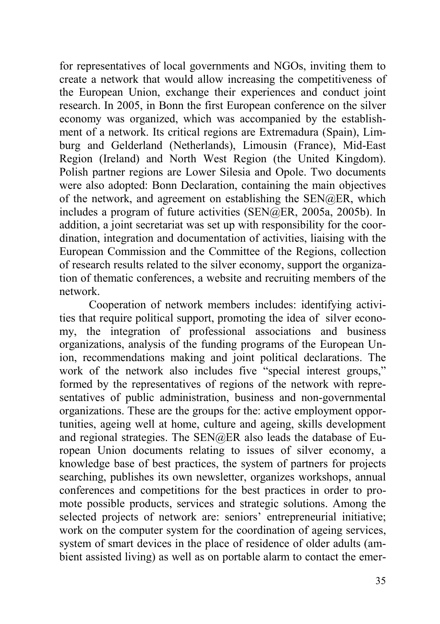for representatives of local governments and NGOs, inviting them to create a network that would allow increasing the competitiveness of the European Union, exchange their experiences and conduct joint research. In 2005, in Bonn the first European conference on the silver economy was organized, which was accompanied by the establishment of a network. Its critical regions are Extremadura (Spain), Limburg and Gelderland (Netherlands), Limousin (France), Mid-East Region (Ireland) and North West Region (the United Kingdom). Polish partner regions are Lower Silesia and Opole. Two documents were also adopted: Bonn Declaration, containing the main objectives of the network, and agreement on establishing the SEN@ER, which includes a program of future activities (SEN@ER, 2005a, 2005b). In addition, a joint secretariat was set up with responsibility for the coordination, integration and documentation of activities, liaising with the European Commission and the Committee of the Regions, collection of research results related to the silver economy, support the organization of thematic conferences, a website and recruiting members of the network.

Cooperation of network members includes: identifying activities that require political support, promoting the idea of silver economy, the integration of professional associations and business organizations, analysis of the funding programs of the European Union, recommendations making and joint political declarations. The work of the network also includes five "special interest groups," formed by the representatives of regions of the network with representatives of public administration, business and non-governmental organizations. These are the groups for the: active employment opportunities, ageing well at home, culture and ageing, skills development and regional strategies. The SEN@ER also leads the database of European Union documents relating to issues of silver economy, a knowledge base of best practices, the system of partners for projects searching, publishes its own newsletter, organizes workshops, annual conferences and competitions for the best practices in order to promote possible products, services and strategic solutions. Among the selected projects of network are: seniors' entrepreneurial initiative; work on the computer system for the coordination of ageing services, system of smart devices in the place of residence of older adults (ambient assisted living) as well as on portable alarm to contact the emer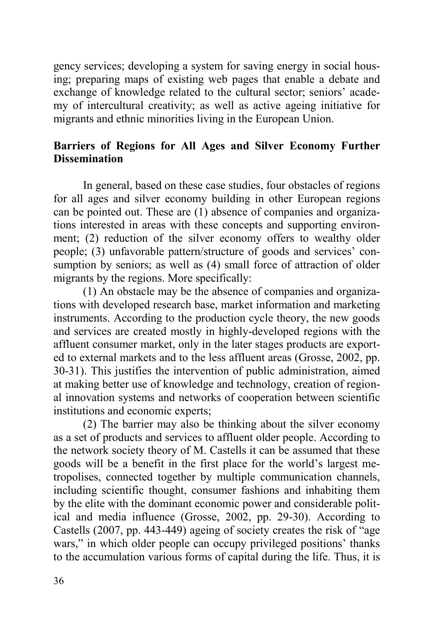gency services; developing a system for saving energy in social housing; preparing maps of existing web pages that enable a debate and exchange of knowledge related to the cultural sector; seniors' academy of intercultural creativity; as well as active ageing initiative for migrants and ethnic minorities living in the European Union.

# **Barriers of Regions for All Ages and Silver Economy Further Dissemination**

In general, based on these case studies, four obstacles of regions for all ages and silver economy building in other European regions can be pointed out. These are (1) absence of companies and organizations interested in areas with these concepts and supporting environment; (2) reduction of the silver economy offers to wealthy older people; (3) unfavorable pattern/structure of goods and services' consumption by seniors; as well as (4) small force of attraction of older migrants by the regions. More specifically:

(1) An obstacle may be the absence of companies and organizations with developed research base, market information and marketing instruments. According to the production cycle theory, the new goods and services are created mostly in highly-developed regions with the affluent consumer market, only in the later stages products are exported to external markets and to the less affluent areas (Grosse, 2002, pp. 30-31). This justifies the intervention of public administration, aimed at making better use of knowledge and technology, creation of regional innovation systems and networks of cooperation between scientific institutions and economic experts;

(2) The barrier may also be thinking about the silver economy as a set of products and services to affluent older people. According to the network society theory of M. Castells it can be assumed that these goods will be a benefit in the first place for the world's largest metropolises, connected together by multiple communication channels, including scientific thought, consumer fashions and inhabiting them by the elite with the dominant economic power and considerable political and media influence (Grosse, 2002, pp. 29-30). According to Castells (2007, pp. 443-449) ageing of society creates the risk of "age wars," in which older people can occupy privileged positions' thanks to the accumulation various forms of capital during the life. Thus, it is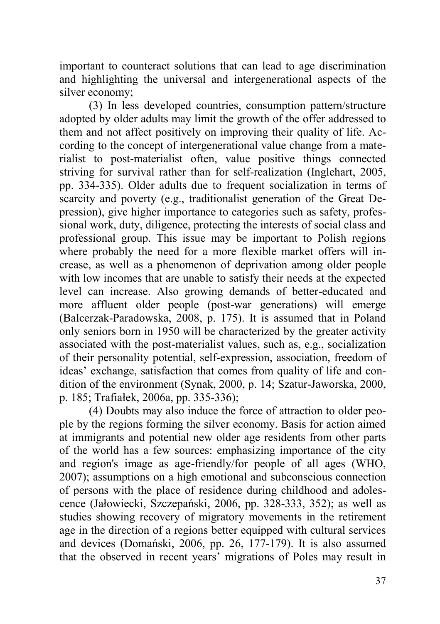important to counteract solutions that can lead to age discrimination and highlighting the universal and intergenerational aspects of the silver economy;

(3) In less developed countries, consumption pattern/structure adopted by older adults may limit the growth of the offer addressed to them and not affect positively on improving their quality of life. According to the concept of intergenerational value change from a materialist to post-materialist often, value positive things connected striving for survival rather than for self-realization (Inglehart, 2005, pp. 334-335). Older adults due to frequent socialization in terms of scarcity and poverty (e.g., traditionalist generation of the Great Depression), give higher importance to categories such as safety, professional work, duty, diligence, protecting the interests of social class and professional group. This issue may be important to Polish regions where probably the need for a more flexible market offers will increase, as well as a phenomenon of deprivation among older people with low incomes that are unable to satisfy their needs at the expected level can increase. Also growing demands of better-educated and more affluent older people (post-war generations) will emerge (Balcerzak-Paradowska, 2008, p. 175). It is assumed that in Poland only seniors born in 1950 will be characterized by the greater activity associated with the post-materialist values, such as, e.g., socialization of their personality potential, self-expression, association, freedom of ideas' exchange, satisfaction that comes from quality of life and condition of the environment (Synak, 2000, p. 14; Szatur-Jaworska, 2000, p. 185; Trafiałek, 2006a, pp. 335-336);

(4) Doubts may also induce the force of attraction to older people by the regions forming the silver economy. Basis for action aimed at immigrants and potential new older age residents from other parts of the world has a few sources: emphasizing importance of the city and region's image as age-friendly/for people of all ages (WHO, 2007); assumptions on a high emotional and subconscious connection of persons with the place of residence during childhood and adolescence (Jałowiecki, Szczepański, 2006, pp. 328-333, 352); as well as studies showing recovery of migratory movements in the retirement age in the direction of a regions better equipped with cultural services and devices (Domański, 2006, pp. 26, 177-179). It is also assumed that the observed in recent years' migrations of Poles may result in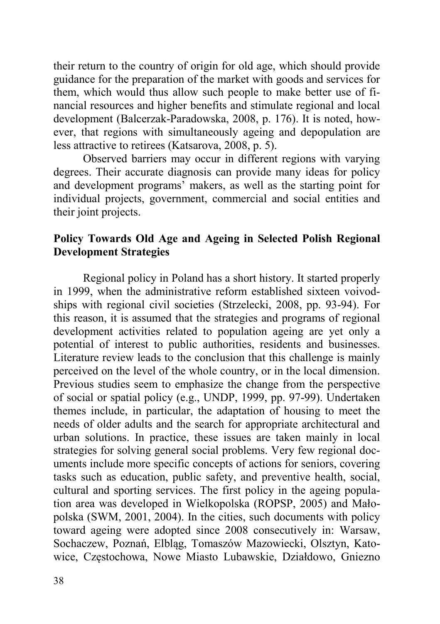their return to the country of origin for old age, which should provide guidance for the preparation of the market with goods and services for them, which would thus allow such people to make better use of financial resources and higher benefits and stimulate regional and local development (Balcerzak-Paradowska, 2008, p. 176). It is noted, however, that regions with simultaneously ageing and depopulation are less attractive to retirees (Katsarova, 2008, p. 5).

Observed barriers may occur in different regions with varying degrees. Their accurate diagnosis can provide many ideas for policy and development programs' makers, as well as the starting point for individual projects, government, commercial and social entities and their joint projects.

# **Policy Towards Old Age and Ageing in Selected Polish Regional Development Strategies**

Regional policy in Poland has a short history. It started properly in 1999, when the administrative reform established sixteen voivodships with regional civil societies (Strzelecki, 2008, pp. 93-94). For this reason, it is assumed that the strategies and programs of regional development activities related to population ageing are yet only a potential of interest to public authorities, residents and businesses. Literature review leads to the conclusion that this challenge is mainly perceived on the level of the whole country, or in the local dimension. Previous studies seem to emphasize the change from the perspective of social or spatial policy (e.g., UNDP, 1999, pp. 97-99). Undertaken themes include, in particular, the adaptation of housing to meet the needs of older adults and the search for appropriate architectural and urban solutions. In practice, these issues are taken mainly in local strategies for solving general social problems. Very few regional documents include more specific concepts of actions for seniors, covering tasks such as education, public safety, and preventive health, social, cultural and sporting services. The first policy in the ageing population area was developed in Wielkopolska (ROPSP, 2005) and Małopolska (SWM, 2001, 2004). In the cities, such documents with policy toward ageing were adopted since 2008 consecutively in: Warsaw, Sochaczew, Poznań, Elbląg, Tomaszów Mazowiecki, Olsztyn, Katowice, Częstochowa, Nowe Miasto Lubawskie, Działdowo, Gniezno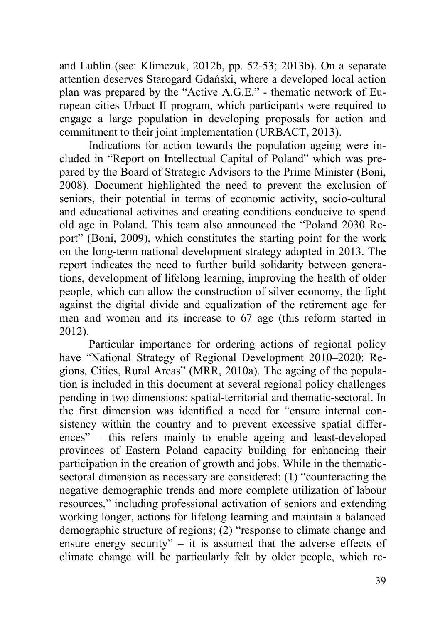and Lublin (see: Klimczuk, 2012b, pp. 52-53; 2013b). On a separate attention deserves Starogard Gdański, where a developed local action plan was prepared by the "Active A.G.E." - thematic network of European cities Urbact II program, which participants were required to engage a large population in developing proposals for action and commitment to their joint implementation (URBACT, 2013).

Indications for action towards the population ageing were included in "Report on Intellectual Capital of Poland" which was prepared by the Board of Strategic Advisors to the Prime Minister (Boni, 2008). Document highlighted the need to prevent the exclusion of seniors, their potential in terms of economic activity, socio-cultural and educational activities and creating conditions conducive to spend old age in Poland. This team also announced the "Poland 2030 Report" (Boni, 2009), which constitutes the starting point for the work on the long-term national development strategy adopted in 2013. The report indicates the need to further build solidarity between generations, development of lifelong learning, improving the health of older people, which can allow the construction of silver economy, the fight against the digital divide and equalization of the retirement age for men and women and its increase to 67 age (this reform started in 2012).

Particular importance for ordering actions of regional policy have "National Strategy of Regional Development 2010–2020: Regions, Cities, Rural Areas" (MRR, 2010a). The ageing of the population is included in this document at several regional policy challenges pending in two dimensions: spatial-territorial and thematic-sectoral. In the first dimension was identified a need for "ensure internal consistency within the country and to prevent excessive spatial differences" – this refers mainly to enable ageing and least-developed provinces of Eastern Poland capacity building for enhancing their participation in the creation of growth and jobs. While in the thematicsectoral dimension as necessary are considered: (1) "counteracting the negative demographic trends and more complete utilization of labour resources," including professional activation of seniors and extending working longer, actions for lifelong learning and maintain a balanced demographic structure of regions; (2) "response to climate change and ensure energy security" – it is assumed that the adverse effects of climate change will be particularly felt by older people, which re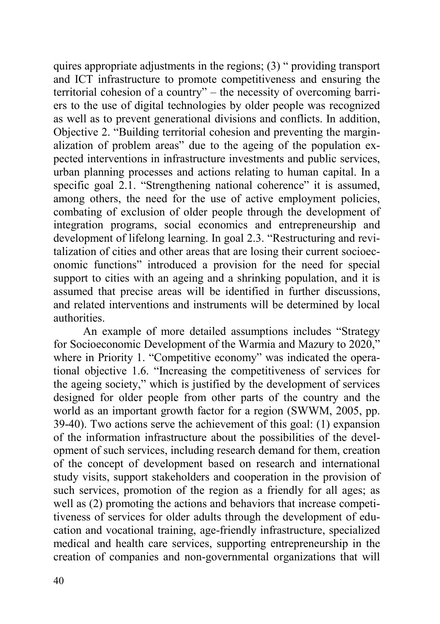quires appropriate adjustments in the regions;  $(3)$  " providing transport and ICT infrastructure to promote competitiveness and ensuring the territorial cohesion of a country" – the necessity of overcoming barriers to the use of digital technologies by older people was recognized as well as to prevent generational divisions and conflicts. In addition, Objective 2. "Building territorial cohesion and preventing the marginalization of problem areas" due to the ageing of the population expected interventions in infrastructure investments and public services, urban planning processes and actions relating to human capital. In a specific goal 2.1. "Strengthening national coherence" it is assumed, among others, the need for the use of active employment policies, combating of exclusion of older people through the development of integration programs, social economics and entrepreneurship and development of lifelong learning. In goal 2.3. "Restructuring and revitalization of cities and other areas that are losing their current socioeconomic functions" introduced a provision for the need for special support to cities with an ageing and a shrinking population, and it is assumed that precise areas will be identified in further discussions, and related interventions and instruments will be determined by local authorities.

An example of more detailed assumptions includes "Strategy for Socioeconomic Development of the Warmia and Mazury to 2020," where in Priority 1. "Competitive economy" was indicated the operational objective 1.6. "Increasing the competitiveness of services for the ageing society," which is justified by the development of services designed for older people from other parts of the country and the world as an important growth factor for a region (SWWM, 2005, pp. 39-40). Two actions serve the achievement of this goal: (1) expansion of the information infrastructure about the possibilities of the development of such services, including research demand for them, creation of the concept of development based on research and international study visits, support stakeholders and cooperation in the provision of such services, promotion of the region as a friendly for all ages; as well as (2) promoting the actions and behaviors that increase competitiveness of services for older adults through the development of education and vocational training, age-friendly infrastructure, specialized medical and health care services, supporting entrepreneurship in the creation of companies and non-governmental organizations that will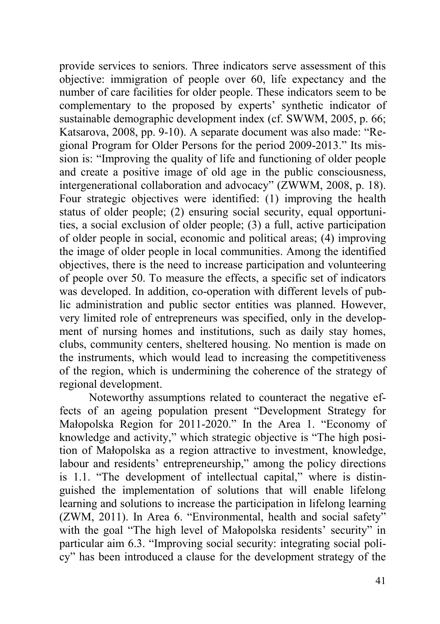provide services to seniors. Three indicators serve assessment of this objective: immigration of people over 60, life expectancy and the number of care facilities for older people. These indicators seem to be complementary to the proposed by experts' synthetic indicator of sustainable demographic development index (cf. SWWM, 2005, p. 66; Katsarova, 2008, pp. 9-10). A separate document was also made: "Regional Program for Older Persons for the period 2009-2013." Its mission is: "Improving the quality of life and functioning of older people and create a positive image of old age in the public consciousness, intergenerational collaboration and advocacy" (ZWWM, 2008, p. 18). Four strategic objectives were identified: (1) improving the health status of older people; (2) ensuring social security, equal opportunities, a social exclusion of older people; (3) a full, active participation of older people in social, economic and political areas; (4) improving the image of older people in local communities. Among the identified objectives, there is the need to increase participation and volunteering of people over 50. To measure the effects, a specific set of indicators was developed. In addition, co-operation with different levels of public administration and public sector entities was planned. However, very limited role of entrepreneurs was specified, only in the development of nursing homes and institutions, such as daily stay homes, clubs, community centers, sheltered housing. No mention is made on the instruments, which would lead to increasing the competitiveness of the region, which is undermining the coherence of the strategy of regional development.

Noteworthy assumptions related to counteract the negative effects of an ageing population present "Development Strategy for Małopolska Region for 2011-2020." In the Area 1. "Economy of knowledge and activity," which strategic objective is "The high position of Małopolska as a region attractive to investment, knowledge, labour and residents' entrepreneurship," among the policy directions is 1.1. "The development of intellectual capital," where is distinguished the implementation of solutions that will enable lifelong learning and solutions to increase the participation in lifelong learning (ZWM, 2011). In Area 6. "Environmental, health and social safety" with the goal "The high level of Małopolska residents' security" in particular aim 6.3. "Improving social security: integrating social policy" has been introduced a clause for the development strategy of the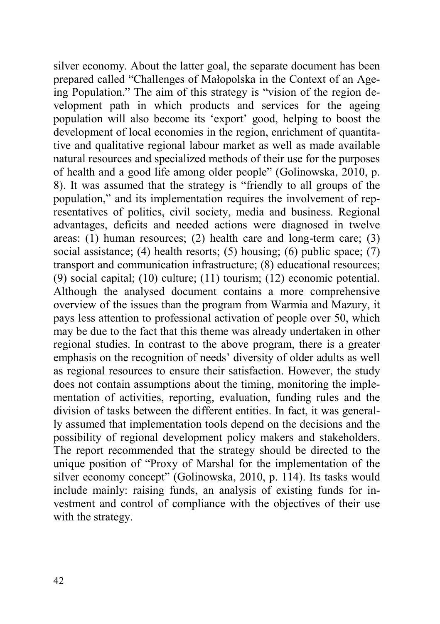silver economy. About the latter goal, the separate document has been prepared called "Challenges of Małopolska in the Context of an Ageing Population." The aim of this strategy is "vision of the region development path in which products and services for the ageing population will also become its 'export' good, helping to boost the development of local economies in the region, enrichment of quantitative and qualitative regional labour market as well as made available natural resources and specialized methods of their use for the purposes of health and a good life among older people" (Golinowska, 2010, p. 8). It was assumed that the strategy is "friendly to all groups of the population," and its implementation requires the involvement of representatives of politics, civil society, media and business. Regional advantages, deficits and needed actions were diagnosed in twelve areas: (1) human resources; (2) health care and long-term care; (3) social assistance; (4) health resorts; (5) housing; (6) public space;  $(7)$ transport and communication infrastructure; (8) educational resources; (9) social capital; (10) culture; (11) tourism; (12) economic potential. Although the analysed document contains a more comprehensive overview of the issues than the program from Warmia and Mazury, it pays less attention to professional activation of people over 50, which may be due to the fact that this theme was already undertaken in other regional studies. In contrast to the above program, there is a greater emphasis on the recognition of needs' diversity of older adults as well as regional resources to ensure their satisfaction. However, the study does not contain assumptions about the timing, monitoring the implementation of activities, reporting, evaluation, funding rules and the division of tasks between the different entities. In fact, it was generally assumed that implementation tools depend on the decisions and the possibility of regional development policy makers and stakeholders. The report recommended that the strategy should be directed to the unique position of "Proxy of Marshal for the implementation of the silver economy concept" (Golinowska, 2010, p. 114). Its tasks would include mainly: raising funds, an analysis of existing funds for investment and control of compliance with the objectives of their use with the strategy.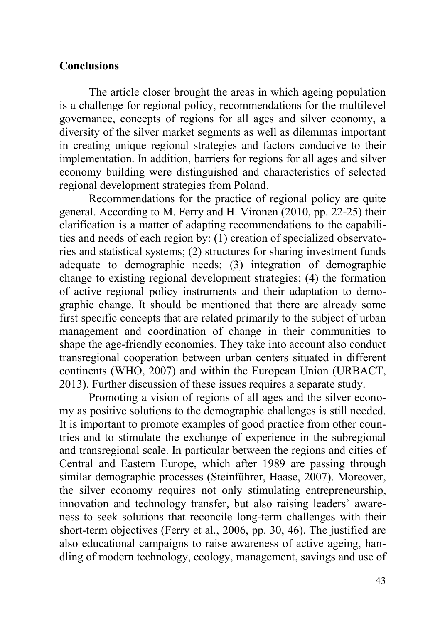# **Conclusions**

The article closer brought the areas in which ageing population is a challenge for regional policy, recommendations for the multilevel governance, concepts of regions for all ages and silver economy, a diversity of the silver market segments as well as dilemmas important in creating unique regional strategies and factors conducive to their implementation. In addition, barriers for regions for all ages and silver economy building were distinguished and characteristics of selected regional development strategies from Poland.

Recommendations for the practice of regional policy are quite general. According to M. Ferry and H. Vironen (2010, pp. 22-25) their clarification is a matter of adapting recommendations to the capabilities and needs of each region by: (1) creation of specialized observatories and statistical systems; (2) structures for sharing investment funds adequate to demographic needs; (3) integration of demographic change to existing regional development strategies; (4) the formation of active regional policy instruments and their adaptation to demographic change. It should be mentioned that there are already some first specific concepts that are related primarily to the subject of urban management and coordination of change in their communities to shape the age-friendly economies. They take into account also conduct transregional cooperation between urban centers situated in different continents (WHO, 2007) and within the European Union (URBACT, 2013). Further discussion of these issues requires a separate study.

Promoting a vision of regions of all ages and the silver economy as positive solutions to the demographic challenges is still needed. It is important to promote examples of good practice from other countries and to stimulate the exchange of experience in the subregional and transregional scale. In particular between the regions and cities of Central and Eastern Europe, which after 1989 are passing through similar demographic processes (Steinführer, Haase, 2007). Moreover, the silver economy requires not only stimulating entrepreneurship, innovation and technology transfer, but also raising leaders' awareness to seek solutions that reconcile long-term challenges with their short-term objectives (Ferry et al., 2006, pp. 30, 46). The justified are also educational campaigns to raise awareness of active ageing, handling of modern technology, ecology, management, savings and use of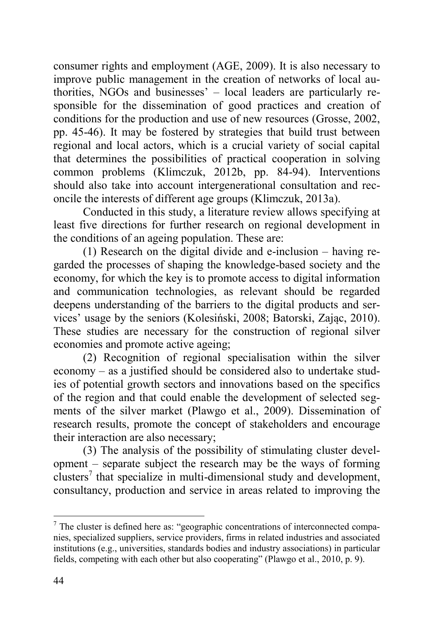consumer rights and employment (AGE, 2009). It is also necessary to improve public management in the creation of networks of local authorities, NGOs and businesses' – local leaders are particularly responsible for the dissemination of good practices and creation of conditions for the production and use of new resources (Grosse, 2002, pp. 45-46). It may be fostered by strategies that build trust between regional and local actors, which is a crucial variety of social capital that determines the possibilities of practical cooperation in solving common problems (Klimczuk, 2012b, pp. 84-94). Interventions should also take into account intergenerational consultation and reconcile the interests of different age groups (Klimczuk, 2013a).

Conducted in this study, a literature review allows specifying at least five directions for further research on regional development in the conditions of an ageing population. These are:

(1) Research on the digital divide and e-inclusion – having regarded the processes of shaping the knowledge-based society and the economy, for which the key is to promote access to digital information and communication technologies, as relevant should be regarded deepens understanding of the barriers to the digital products and services' usage by the seniors (Kolesiński, 2008; Batorski, Zając, 2010). These studies are necessary for the construction of regional silver economies and promote active ageing;

(2) Recognition of regional specialisation within the silver economy – as a justified should be considered also to undertake studies of potential growth sectors and innovations based on the specifics of the region and that could enable the development of selected segments of the silver market (Plawgo et al., 2009). Dissemination of research results, promote the concept of stakeholders and encourage their interaction are also necessary;

(3) The analysis of the possibility of stimulating cluster development – separate subject the research may be the ways of forming clusters<sup>7</sup> that specialize in multi-dimensional study and development, consultancy, production and service in areas related to improving the

 $\overline{a}$ 

 $7$  The cluster is defined here as: "geographic concentrations of interconnected companies, specialized suppliers, service providers, firms in related industries and associated institutions (e.g., universities, standards bodies and industry associations) in particular fields, competing with each other but also cooperating" (Plawgo et al., 2010, p. 9).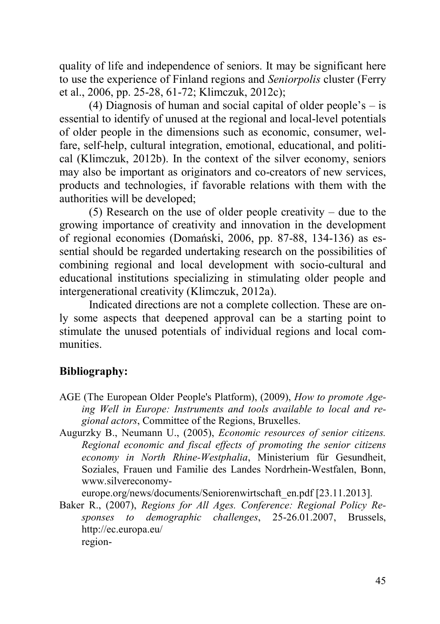quality of life and independence of seniors. It may be significant here to use the experience of Finland regions and *Seniorpolis* cluster (Ferry et al., 2006, pp. 25-28, 61-72; Klimczuk, 2012c);

(4) Diagnosis of human and social capital of older people's  $-$  is essential to identify of unused at the regional and local-level potentials of older people in the dimensions such as economic, consumer, welfare, self-help, cultural integration, emotional, educational, and political (Klimczuk, 2012b). In the context of the silver economy, seniors may also be important as originators and co-creators of new services, products and technologies, if favorable relations with them with the authorities will be developed;

(5) Research on the use of older people creativity – due to the growing importance of creativity and innovation in the development of regional economies (Domański, 2006, pp. 87-88, 134-136) as essential should be regarded undertaking research on the possibilities of combining regional and local development with socio-cultural and educational institutions specializing in stimulating older people and intergenerational creativity (Klimczuk, 2012a).

Indicated directions are not a complete collection. These are only some aspects that deepened approval can be a starting point to stimulate the unused potentials of individual regions and local communities.

#### **Bibliography:**

- AGE (The European Older People's Platform), (2009), *How to promote Ageing Well in Europe: Instruments and tools available to local and regional actors*, Committee of the Regions, Bruxelles.
- Augurzky B., Neumann U., (2005), *Economic resources of senior citizens. Regional economic and fiscal effects of promoting the senior citizens economy in North Rhine-Westphalia*, Ministerium für Gesundheit, Soziales, Frauen und Familie des Landes Nordrhein-Westfalen, Bonn, www.silvereconomy-

europe.org/news/documents/Seniorenwirtschaft\_en.pdf [23.11.2013].

Baker R., (2007), *Regions for All Ages. Conference: Regional Policy Responses to demographic challenges*, 25-26.01.2007, Brussels, http://ec.europa.eu/ region-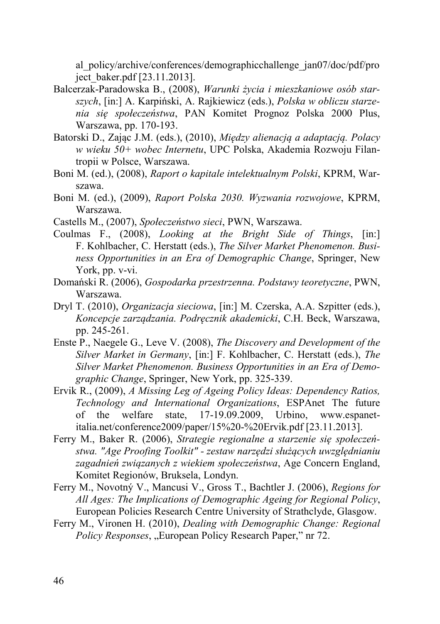al\_policy/archive/conferences/demographicchallenge\_jan07/doc/pdf/pro ject\_baker.pdf [23.11.2013].

- Balcerzak-Paradowska B., (2008), *Warunki życia i mieszkaniowe osób starszych*, [in:] A. Karpiński, A. Rajkiewicz (eds.), *Polska w obliczu starzenia się społeczeństwa*, PAN Komitet Prognoz Polska 2000 Plus, Warszawa, pp. 170-193.
- Batorski D., Zając J.M. (eds.), (2010), *Między alienacją a adaptacją. Polacy w wieku 50+ wobec Internetu*, UPC Polska, Akademia Rozwoju Filantropii w Polsce, Warszawa.
- Boni M. (ed.), (2008), *Raport o kapitale intelektualnym Polski*, KPRM, Warszawa.
- Boni M. (ed.), (2009), *Raport Polska 2030. Wyzwania rozwojowe*, KPRM, Warszawa.
- Castells M., (2007), *Społeczeństwo sieci*, PWN, Warszawa.
- Coulmas F., (2008), *Looking at the Bright Side of Things*, [in:] F. Kohlbacher, C. Herstatt (eds.), *The Silver Market Phenomenon. Business Opportunities in an Era of Demographic Change*, Springer, New York, pp. v-vi.
- Domański R. (2006), *Gospodarka przestrzenna. Podstawy teoretyczne*, PWN, Warszawa.
- Dryl T. (2010), *Organizacja sieciowa*, [in:] M. Czerska, A.A. Szpitter (eds.), *Koncepcje zarządzania. Podręcznik akademicki*, C.H. Beck, Warszawa, pp. 245-261.
- Enste P., Naegele G., Leve V. (2008), *The Discovery and Development of the Silver Market in Germany*, [in:] F. Kohlbacher, C. Herstatt (eds.), *The Silver Market Phenomenon. Business Opportunities in an Era of Demographic Change*, Springer, New York, pp. 325-339.
- Ervik R., (2009), *A Missing Leg of Ageing Policy Ideas: Dependency Ratios, Technology and International Organizations*, ESPAnet The future of the welfare state, 17-19.09.2009, Urbino, www.espanetitalia.net/conference2009/paper/15%20-%20Ervik.pdf [23.11.2013].
- Ferry M., Baker R. (2006), *Strategie regionalne a starzenie się społeczeństwa. "Age Proofing Toolkit" - zestaw narzędzi służących uwzględnianiu zagadnień związanych z wiekiem społeczeństwa*, Age Concern England, Komitet Regionów, Bruksela, Londyn.
- Ferry M., Novotný V., Mancusi V., Gross T., Bachtler J. (2006), *Regions for All Ages: The Implications of Demographic Ageing for Regional Policy*, European Policies Research Centre University of Strathclyde, Glasgow.
- Ferry M., Vironen H. (2010), *Dealing with Demographic Change: Regional Policy Responses*, "European Policy Research Paper," nr 72.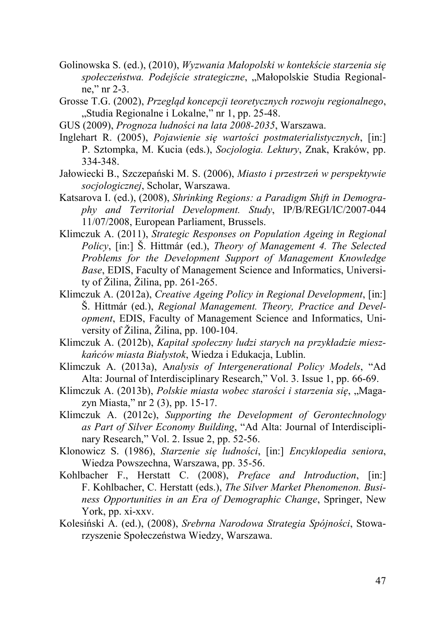- Golinowska S. (ed.), (2010), *Wyzwania Małopolski w kontekście starzenia się społeczeństwa. Podejście strategiczne*, "Małopolskie Studia Regionalne," nr 2-3.
- Grosse T.G. (2002), *Przegląd koncepcji teoretycznych rozwoju regionalnego*, "Studia Regionalne i Lokalne," nr 1, pp. 25-48.
- GUS (2009), *Prognoza ludności na lata 2008-2035*, Warszawa.
- Inglehart R. (2005), *Pojawienie się wartości postmaterialistycznych*, [in:] P. Sztompka, M. Kucia (eds.), *Socjologia. Lektury*, Znak, Kraków, pp. 334-348.
- Jałowiecki B., Szczepański M. S. (2006), *Miasto i przestrzeń w perspektywie socjologicznej*, Scholar, Warszawa.
- Katsarova I. (ed.), (2008), *Shrinking Regions: a Paradigm Shift in Demography and Territorial Development. Study*, IP/B/REGI/IC/2007-044 11/07/2008, European Parliament, Brussels.
- Klimczuk A. (2011), *Strategic Responses on Population Ageing in Regional Policy*, [in:] Š. Hittmár (ed.), *Theory of Management 4. The Selected Problems for the Development Support of Management Knowledge Base*, EDIS, Faculty of Management Science and Informatics, University of Žilina, Žilina, pp. 261-265.
- Klimczuk A. (2012a), *Creative Ageing Policy in Regional Development*, [in:] Š. Hittmár (ed.), *Regional Management. Theory, Practice and Development*, EDIS, Faculty of Management Science and Informatics, University of Žilina, Žilina, pp. 100-104.
- Klimczuk A. (2012b), *Kapitał społeczny ludzi starych na przykładzie mieszkańców miasta Białystok*, Wiedza i Edukacja, Lublin.
- Klimczuk A. (2013a), A*nalysis of Intergenerational Policy Models*, "Ad Alta: Journal of Interdisciplinary Research," Vol. 3. Issue 1, pp. 66-69.
- Klimczuk A. (2013b), *Polskie miasta wobec starości i starzenia się*, "Magazyn Miasta," nr 2 (3), pp. 15-17.
- Klimczuk A. (2012c), *Supporting the Development of Gerontechnology as Part of Silver Economy Building*, "Ad Alta: Journal of Interdisciplinary Research," Vol. 2. Issue 2, pp. 52-56.
- Klonowicz S. (1986), *Starzenie się ludności*, [in:] *Encyklopedia seniora*, Wiedza Powszechna, Warszawa, pp. 35-56.
- Kohlbacher F., Herstatt C. (2008), *Preface and Introduction*, [in:] F. Kohlbacher, C. Herstatt (eds.), *The Silver Market Phenomenon. Business Opportunities in an Era of Demographic Change*, Springer, New York, pp. xi-xxv.
- Kolesiński A. (ed.), (2008), *Srebrna Narodowa Strategia Spójności*, Stowarzyszenie Społeczeństwa Wiedzy, Warszawa.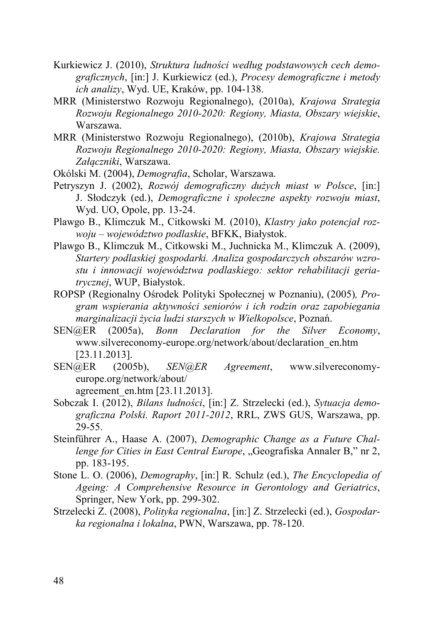- Kurkiewicz J. (2010), *Struktura ludności według podstawowych cech demograficznych*, [in:] J. Kurkiewicz (ed.), *Procesy demograficzne i metody ich analizy*, Wyd. UE, Kraków, pp. 104-138.
- MRR (Ministerstwo Rozwoju Regionalnego), (2010a), *Krajowa Strategia Rozwoju Regionalnego 2010-2020: Regiony, Miasta, Obszary wiejskie*, Warszawa.
- MRR (Ministerstwo Rozwoju Regionalnego), (2010b), *Krajowa Strategia Rozwoju Regionalnego 2010-2020: Regiony, Miasta, Obszary wiejskie. Załączniki*, Warszawa.
- Okólski M. (2004), *Demografia*, Scholar, Warszawa.
- Petryszyn J. (2002), *Rozwój demograficzny dużych miast w Polsce*, [in:] J. Słodczyk (ed.), *Demograficzne i społeczne aspekty rozwoju miast*, Wyd. UO, Opole, pp. 13-24.
- Plawgo B., Klimczuk M., Citkowski M. (2010), *Klastry jako potencjał rozwoju – województwo podlaskie*, BFKK, Białystok.
- Plawgo B., Klimczuk M., Citkowski M., Juchnicka M., Klimczuk A. (2009), *Startery podlaskiej gospodarki. Analiza gospodarczych obszarów wzrostu i innowacji województwa podlaskiego: sektor rehabilitacji geriatrycznej*, WUP, Białystok.
- ROPSP (Regionalny Ośrodek Polityki Społecznej w Poznaniu), (2005)*, Program wspierania aktywności seniorów i ich rodzin oraz zapobiegania marginalizacji życia ludzi starszych w Wielkopolsce*, Poznań.
- SEN@ER (2005a), *Bonn Declaration for the Silver Economy*, www.silvereconomy-europe.org/network/about/declaration\_en.htm [23.11.2013].
- SEN@ER (2005b), *SEN@ER Agreement*, www.silvereconomyeurope.org/network/about/

agreement\_en.htm [23.11.2013].

- Sobczak I. (2012), *Bilans ludności*, [in:] Z. Strzelecki (ed.), *Sytuacja demograficzna Polski. Raport 2011-2012*, RRL, ZWS GUS, Warszawa, pp. 29-55.
- Steinführer A., Haase A. (2007), *Demographic Change as a Future Challenge for Cities in East Central Europe*, "Geografiska Annaler B," nr 2, pp. 183-195.
- Stone L. O. (2006), *Demography*, [in:] R. Schulz (ed.), *The Encyclopedia of Ageing: A Comprehensive Resource in Gerontology and Geriatrics*, Springer, New York, pp. 299-302.
- Strzelecki Z. (2008), *Polityka regionalna*, [in:] Z. Strzelecki (ed.), *Gospodarka regionalna i lokalna*, PWN, Warszawa, pp. 78-120.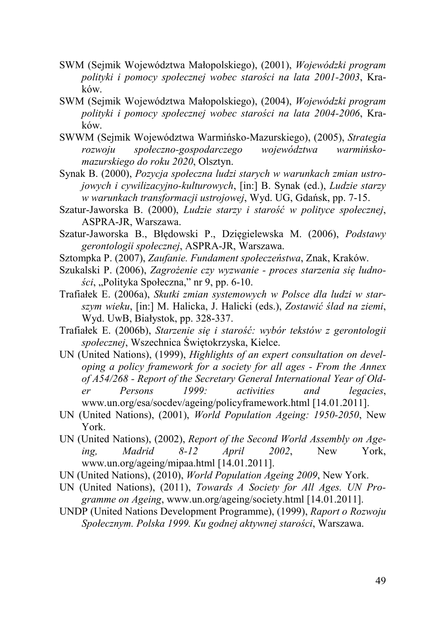- SWM (Sejmik Województwa Małopolskiego), (2001), *Wojewódzki program polityki i pomocy społecznej wobec starości na lata 2001-2003*, Kraków.
- SWM (Sejmik Województwa Małopolskiego), (2004), *Wojewódzki program polityki i pomocy społecznej wobec starości na lata 2004-2006*, Kraków.
- SWWM (Sejmik Województwa Warmińsko-Mazurskiego), (2005), *Strategia rozwoju społeczno-gospodarczego województwa warmińskomazurskiego do roku 2020*, Olsztyn.

Synak B. (2000), *Pozycja społeczna ludzi starych w warunkach zmian ustrojowych i cywilizacyjno-kulturowych*, [in:] B. Synak (ed.), *Ludzie starzy w warunkach transformacji ustrojowej*, Wyd. UG, Gdańsk, pp. 7-15.

- Szatur-Jaworska B. (2000), *Ludzie starzy i starość w polityce społecznej*, ASPRA-JR, Warszawa.
- Szatur-Jaworska B., Błędowski P., Dzięgielewska M. (2006), *Podstawy gerontologii społecznej*, ASPRA-JR, Warszawa.
- Sztompka P. (2007), *Zaufanie. Fundament społeczeństwa*, Znak, Kraków.
- Szukalski P. (2006), *Zagrożenie czy wyzwanie - proces starzenia się ludności*, "Polityka Społeczna," nr 9, pp. 6-10.
- Trafiałek E. (2006a), *Skutki zmian systemowych w Polsce dla ludzi w starszym wieku*, [in:] M. Halicka, J. Halicki (eds.), *Zostawić ślad na ziemi*, Wyd. UwB, Białystok, pp. 328-337.
- Trafiałek E. (2006b), *Starzenie się i starość: wybór tekstów z gerontologii społecznej*, Wszechnica Świętokrzyska, Kielce.
- UN (United Nations), (1999), *Highlights of an expert consultation on developing a policy framework for a society for all ages - From the Annex of A54/268 - Report of the Secretary General International Year of Older Persons 1999: activities and legacies*, www.un.org/esa/socdev/ageing/policyframework.html [14.01.2011].
- UN (United Nations), (2001), *World Population Ageing: 1950-2050*, New York.
- UN (United Nations), (2002), *Report of the Second World Assembly on Age-*<br>*ing.* Madrid 8-12 April 2002, New York. *ing, Madrid 8-12 April 2002*, New York, www.un.org/ageing/mipaa.html [14.01.2011].
- UN (United Nations), (2010), *World Population Ageing 2009*, New York.
- UN (United Nations), (2011), *Towards A Society for All Ages. UN Programme on Ageing*, www.un.org/ageing/society.html [14.01.2011].
- UNDP (United Nations Development Programme), (1999), *Raport o Rozwoju Społecznym. Polska 1999. Ku godnej aktywnej starości*, Warszawa.